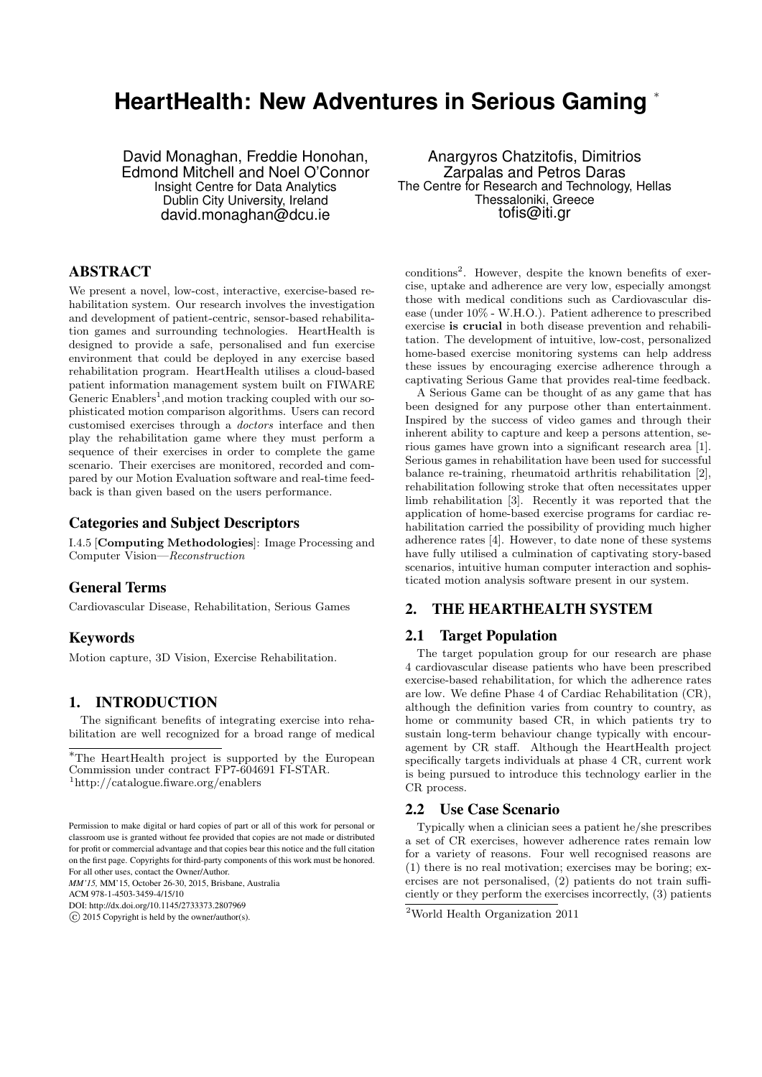# **HeartHealth: New Adventures in Serious Gaming** <sup>∗</sup>

David Monaghan, Freddie Honohan, Edmond Mitchell and Noel O'Connor Insight Centre for Data Analytics Dublin City University, Ireland david.monaghan@dcu.ie

## ABSTRACT

We present a novel, low-cost, interactive, exercise-based rehabilitation system. Our research involves the investigation and development of patient-centric, sensor-based rehabilitation games and surrounding technologies. HeartHealth is designed to provide a safe, personalised and fun exercise environment that could be deployed in any exercise based rehabilitation program. HeartHealth utilises a cloud-based patient information management system built on FIWARE Generic Enablers<sup>1</sup>, and motion tracking coupled with our sophisticated motion comparison algorithms. Users can record customised exercises through a doctors interface and then play the rehabilitation game where they must perform a sequence of their exercises in order to complete the game scenario. Their exercises are monitored, recorded and compared by our Motion Evaluation software and real-time feedback is than given based on the users performance.

#### Categories and Subject Descriptors

I.4.5 [Computing Methodologies]: Image Processing and Computer Vision—Reconstruction

# General Terms

Cardiovascular Disease, Rehabilitation, Serious Games

## Keywords

Motion capture, 3D Vision, Exercise Rehabilitation.

## 1. INTRODUCTION

The significant benefits of integrating exercise into rehabilitation are well recognized for a broad range of medical

*MM'15,* MM'15, October 26-30, 2015, Brisbane, Australia

ACM 978-1-4503-3459-4/15/10

Anargyros Chatzitofis, Dimitrios Zarpalas and Petros Daras The Centre for Research and Technology, Hellas Thessaloniki, Greece tofis@iti.gr

conditions<sup>2</sup>. However, despite the known benefits of exercise, uptake and adherence are very low, especially amongst those with medical conditions such as Cardiovascular disease (under 10% - W.H.O.). Patient adherence to prescribed exercise is crucial in both disease prevention and rehabilitation. The development of intuitive, low-cost, personalized home-based exercise monitoring systems can help address these issues by encouraging exercise adherence through a captivating Serious Game that provides real-time feedback.

A Serious Game can be thought of as any game that has been designed for any purpose other than entertainment. Inspired by the success of video games and through their inherent ability to capture and keep a persons attention, serious games have grown into a significant research area [1]. Serious games in rehabilitation have been used for successful balance re-training, rheumatoid arthritis rehabilitation [2], rehabilitation following stroke that often necessitates upper limb rehabilitation [3]. Recently it was reported that the application of home-based exercise programs for cardiac rehabilitation carried the possibility of providing much higher adherence rates [4]. However, to date none of these systems have fully utilised a culmination of captivating story-based scenarios, intuitive human computer interaction and sophisticated motion analysis software present in our system.

# 2. THE HEARTHEALTH SYSTEM

## 2.1 Target Population

The target population group for our research are phase 4 cardiovascular disease patients who have been prescribed exercise-based rehabilitation, for which the adherence rates are low. We define Phase 4 of Cardiac Rehabilitation (CR), although the definition varies from country to country, as home or community based CR, in which patients try to sustain long-term behaviour change typically with encouragement by CR staff. Although the HeartHealth project specifically targets individuals at phase 4 CR, current work is being pursued to introduce this technology earlier in the CR process.

# 2.2 Use Case Scenario

Typically when a clinician sees a patient he/she prescribes a set of CR exercises, however adherence rates remain low for a variety of reasons. Four well recognised reasons are (1) there is no real motivation; exercises may be boring; exercises are not personalised, (2) patients do not train sufficiently or they perform the exercises incorrectly, (3) patients

<sup>∗</sup>The HeartHealth project is supported by the European Commission under contract FP7-604691 FI-STAR. <sup>1</sup>http://catalogue.fiware.org/enablers

Permission to make digital or hard copies of part or all of this work for personal or classroom use is granted without fee provided that copies are not made or distributed for profit or commercial advantage and that copies bear this notice and the full citation on the first page. Copyrights for third-party components of this work must be honored. For all other uses, contact the Owner/Author.

DOI: http://dx.doi.org/10.1145/2733373.2807969

 $\overline{c}$  2015 Copyright is held by the owner/author(s).

<sup>2</sup>World Health Organization 2011